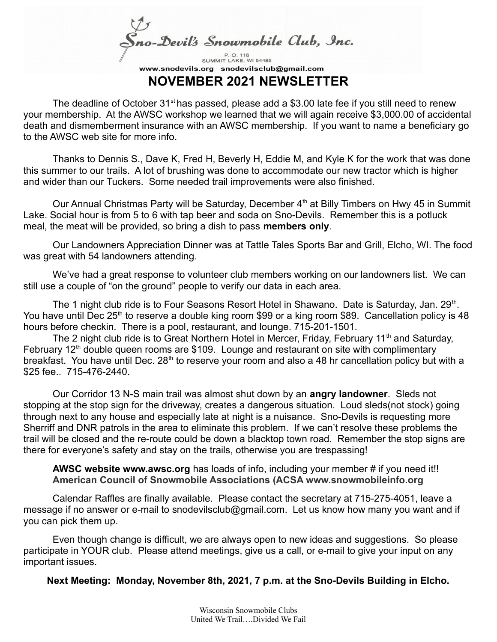no-Devil's Snowmobile Club, Inc.

SUMMIT LAKE, WI 54485 www.snodevils.org snodevilsclub@gmail.com **NOVEMBER 2021 NEWSLETTER**

The deadline of October  $31<sup>st</sup>$  has passed, please add a \$3.00 late fee if you still need to renew your membership. At the AWSC workshop we learned that we will again receive \$3,000.00 of accidental death and dismemberment insurance with an AWSC membership. If you want to name a beneficiary go to the AWSC web site for more info.

Thanks to Dennis S., Dave K, Fred H, Beverly H, Eddie M, and Kyle K for the work that was done this summer to our trails. A lot of brushing was done to accommodate our new tractor which is higher and wider than our Tuckers. Some needed trail improvements were also finished.

Our Annual Christmas Party will be Saturday, December  $4<sup>th</sup>$  at Billy Timbers on Hwy 45 in Summit Lake. Social hour is from 5 to 6 with tap beer and soda on Sno-Devils. Remember this is a potluck meal, the meat will be provided, so bring a dish to pass **members only**.

Our Landowners Appreciation Dinner was at Tattle Tales Sports Bar and Grill, Elcho, WI. The food was great with 54 landowners attending.

We've had a great response to volunteer club members working on our landowners list. We can still use a couple of "on the ground" people to verify our data in each area.

The 1 night club ride is to Four Seasons Resort Hotel in Shawano. Date is Saturday, Jan. 29<sup>th</sup>. You have until Dec  $25<sup>th</sup>$  to reserve a double king room \$99 or a king room \$89. Cancellation policy is 48 hours before checkin. There is a pool, restaurant, and lounge. 715-201-1501.

The 2 night club ride is to Great Northern Hotel in Mercer, Friday, February 11<sup>th</sup> and Saturday, February 12<sup>th</sup> double queen rooms are \$109. Lounge and restaurant on site with complimentary breakfast. You have until Dec. 28<sup>th</sup> to reserve your room and also a 48 hr cancellation policy but with a \$25 fee.. 715-476-2440.

Our Corridor 13 N-S main trail was almost shut down by an **angry landowner**. Sleds not stopping at the stop sign for the driveway, creates a dangerous situation. Loud sleds(not stock) going through next to any house and especially late at night is a nuisance. Sno-Devils is requesting more Sherriff and DNR patrols in the area to eliminate this problem. If we can't resolve these problems the trail will be closed and the re-route could be down a blacktop town road. Remember the stop signs are there for everyone's safety and stay on the trails, otherwise you are trespassing!

**AWSC website www.awsc.org** has loads of info, including your member # if you need it!! **American Council of Snowmobile Associations (ACSA www.snowmobileinfo.org**

Calendar Raffles are finally available. Please contact the secretary at 715-275-4051, leave a message if no answer or e-mail to snodevilsclub@gmail.com. Let us know how many you want and if you can pick them up.

Even though change is difficult, we are always open to new ideas and suggestions. So please participate in YOUR club. Please attend meetings, give us a call, or e-mail to give your input on any important issues.

**Next Meeting: Monday, November 8th, 2021, 7 p.m. at the Sno-Devils Building in Elcho.**